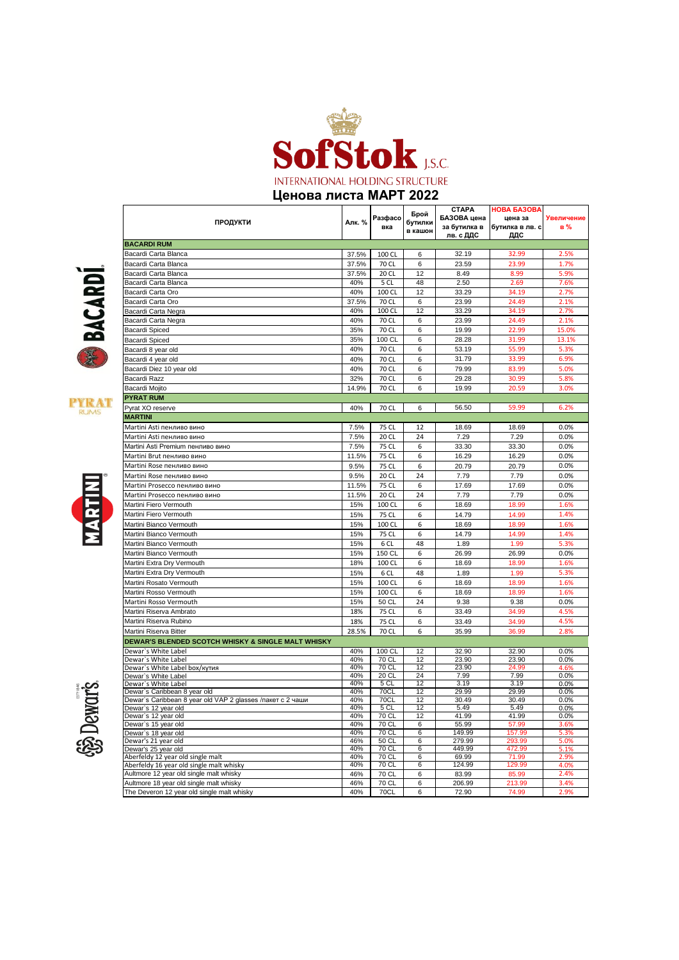

**Ценова листа МАРТ 2022**

Bacardi Carta Blanca 37.5% 100 CL 6 32.19 32.99 2.5%

**вка**

**Брой бутилки в кашон**

**СТАРА БАЗОВА цена за бутилка в лв. с ДДС**

**НОВА БАЗОВ цена за**  бутилка в лв **ДДС**

елич **в %**

**ПРОДУКТИ Алк. % Разфасо**



**BACARDI RUM**





 $\frac{5}{2}$ Dewars.

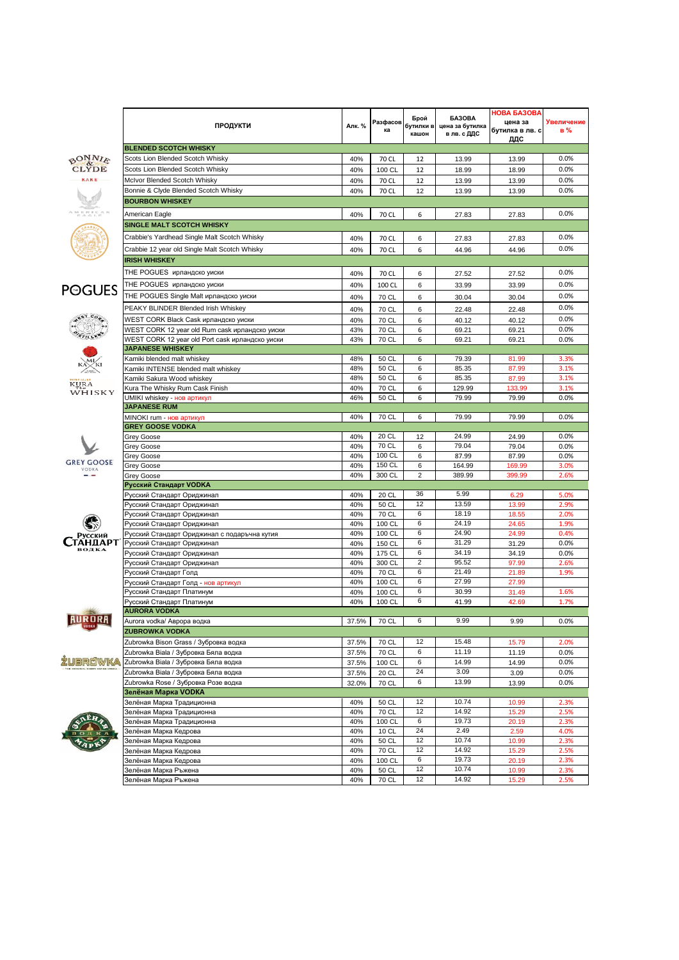|                                         | <b>ПРОДУКТИ</b>                                                                                   | Алк. %     | Разфасов<br>ка   | Брой<br>бутилки в<br>кашон | <b>БАЗОВА</b><br>цена за бутилка<br>в лв. с ДДС | <b>HOBA GA3OBA</b><br>цена за<br>бутилка в лв. с<br>ддс | Увеличение<br>в% |
|-----------------------------------------|---------------------------------------------------------------------------------------------------|------------|------------------|----------------------------|-------------------------------------------------|---------------------------------------------------------|------------------|
|                                         | <b>BLENDED SCOTCH WHISKY</b>                                                                      |            |                  |                            |                                                 |                                                         |                  |
| $\frac{\partial N_{N}}{\partial L_{N}}$ | Scots Lion Blended Scotch Whisky                                                                  | 40%        | 70 CL            | 12                         | 13.99                                           | 13.99                                                   | 0.0%             |
|                                         | Scots Lion Blended Scotch Whisky                                                                  | 40%        | 100 CL           | 12                         | 18.99                                           | 18.99                                                   | 0.0%             |
|                                         | McIvor Blended Scotch Whisky                                                                      | 40%        | 70 CL            | 12                         | 13.99                                           | 13.99                                                   | 0.0%             |
|                                         | Bonnie & Clyde Blended Scotch Whisky                                                              | 40%        | 70 CL            | 12                         | 13.99                                           | 13.99                                                   | 0.0%             |
|                                         | <b>BOURBON WHISKEY</b>                                                                            |            |                  |                            |                                                 |                                                         |                  |
|                                         | American Eagle                                                                                    | 40%        | 70 CL            | 6                          | 27.83                                           | 27.83                                                   | 0.0%             |
|                                         | <b>SINGLE MALT SCOTCH WHISKY</b>                                                                  |            |                  |                            |                                                 |                                                         |                  |
|                                         | Crabbie's Yardhead Single Malt Scotch Whisky                                                      | 40%        | 70 CL            | 6                          | 27.83                                           | 27.83                                                   | 0.0%             |
|                                         | Crabbie 12 year old Single Malt Scotch Whisky                                                     | 40%        | 70 CL            | 6                          | 44.96                                           | 44.96                                                   | 0.0%             |
|                                         | <b>IRISH WHISKEY</b>                                                                              |            |                  |                            |                                                 |                                                         |                  |
|                                         | THE POGUES ирландско уиски                                                                        | 40%        | 70 CL            | 6                          | 27.52                                           | 27.52                                                   | 0.0%             |
|                                         | THE POGUES ирландско уиски                                                                        | 40%        | 100 CL           | 6                          | 33.99                                           | 33.99                                                   | 0.0%             |
| <b>POGUES</b>                           | THE POGUES Single Malt ирландско уиски                                                            | 40%        |                  |                            |                                                 |                                                         | 0.0%             |
|                                         | PEAKY BLINDER Blended Irish Whiskey                                                               |            | 70 CL            | 6                          | 30.04                                           | 30.04                                                   | 0.0%             |
| $e^{57-C_{O_{P_{\phi}}}}$               |                                                                                                   | 40%        | 70 CL            | 6                          | 22.48                                           | 22.48                                                   |                  |
|                                         | WEST CORK Black Cask ирландско уиски                                                              | 40%<br>43% | 70 CL<br>70 CL   | 6<br>6                     | 40.12<br>69.21                                  | 40.12<br>69.21                                          | 0.0%<br>0.0%     |
|                                         | WEST CORK 12 year old Rum cask ирландско уиски<br>WEST CORK 12 year old Port cask ирландско уиски | 43%        | 70 CL            | 6                          | 69.21                                           | 69.21                                                   | 0.0%             |
|                                         | <b>JAPANESE WHISKEY</b>                                                                           |            |                  |                            |                                                 |                                                         |                  |
|                                         | Kamiki blended malt whiskey                                                                       | 48%        | 50 CL            | 6                          | 79.39                                           | 81.99                                                   | 3.3%             |
|                                         | Kamiki INTENSE blended malt whiskey                                                               | 48%        | 50 CL            | 6                          | 85.35                                           | 87.99                                                   | 3.1%             |
|                                         | Kamiki Sakura Wood whiskey                                                                        | 48%        | 50 CL            | 6                          | 85.35                                           | 87.99                                                   | 3.1%             |
| KURA<br>WHISKY                          | Kura The Whisky Rum Cask Finish                                                                   | 40%        | 70 CL            | 6                          | 129.99                                          | 133.99                                                  | 3.1%             |
|                                         | UMIKI whiskey - нов артикул                                                                       | 46%        | 50 CL            | 6                          | 79.99                                           | 79.99                                                   | 0.0%             |
|                                         | <b>JAPANESE RUM</b><br>MINOKI rum - нов артикул                                                   |            |                  |                            |                                                 |                                                         |                  |
|                                         | <b>GREY GOOSE VODKA</b>                                                                           | 40%        | 70 CL            | 6                          | 79.99                                           | 79.99                                                   | 0.0%             |
|                                         | Grey Goose                                                                                        | 40%        | 20 CL            | 12                         | 24.99                                           | 24.99                                                   | 0.0%             |
|                                         | Grey Goose                                                                                        | 40%        | 70 CL            | 6                          | 79.04                                           | 79.04                                                   | 0.0%             |
|                                         | Grey Goose                                                                                        | 40%        | 100 CL           | 6                          | 87.99                                           | 87.99                                                   | 0.0%             |
| <b>GREY GOOSE</b><br>VODKA              | Grey Goose                                                                                        | 40%        | 150 CL           | 6                          | 164.99                                          | 169.99                                                  | 3.0%             |
|                                         | Grey Goose                                                                                        | 40%        | 300 CL           | 2                          | 389.99                                          | 399.99                                                  | 2.6%             |
|                                         | Русский Стандарт VODKA                                                                            |            |                  |                            |                                                 |                                                         |                  |
|                                         | Русский Стандарт Ориджинал                                                                        | 40%        | 20 CL            | 36<br>12                   | 5.99<br>13.59                                   | 6.29                                                    | 5.0%             |
|                                         | Русский Стандарт Ориджинал<br>Русский Стандарт Ориджинал                                          | 40%<br>40% | 50 CL<br>70 CL   | 6                          | 18.19                                           | 13.99<br>18.55                                          | 2.9%<br>2.0%     |
|                                         | Русский Стандарт Ориджинал                                                                        | 40%        | 100 CL           | 6                          | 24.19                                           | 24.65                                                   | 1.9%             |
| Русский                                 | Русский Стандарт Ориджинал с подаръчна кутия                                                      | 40%        | 100 CL           | 6                          | 24.90                                           | 24.99                                                   | 0.4%             |
| <b>АНДАРТ</b>                           | Русский Стандарт Ориджинал                                                                        | 40%        | 150 CL           | 6                          | 31.29                                           | 31.29                                                   | 0.0%             |
| водка                                   | Русский Стандарт Ориджинал                                                                        | 40%        | 175 CL           | 6                          | 34.19                                           | 34.19                                                   | 0.0%             |
|                                         | Русский Стандарт Ориджинал                                                                        | 40%        | 300 CL           | $\overline{2}$             | 95.52                                           | 97.99                                                   | 2.6%             |
|                                         | Русский Стандарт Голд                                                                             | 40%        | 70 CL            | 6                          | 21.49                                           | 21.89                                                   | 1.9%             |
|                                         | Русский Стандарт Голд - нов артикул                                                               | 40%        | 100 CL           | 6<br>6                     | 27.99                                           | 27.99                                                   |                  |
|                                         | Русский Стандарт Платинум<br>Русский Стандарт Платинум                                            | 40%<br>40% | 100 CL<br>100 CL | 6                          | 30.99<br>41.99                                  | 31.49<br>42.69                                          | 1.6%<br>1.7%     |
|                                         | AURORA VODKA                                                                                      |            |                  |                            |                                                 |                                                         |                  |
| <b>AURORA</b>                           | Aurora vodka/ Аврора водка                                                                        | 37.5%      | 70 CL            | 6                          | 9.99                                            | 9.99                                                    | 0.0%             |
|                                         | <b>ZUBROWKA VODKA</b>                                                                             |            |                  |                            |                                                 |                                                         |                  |
|                                         | Zubrowka Bison Grass / Зубровка водка                                                             | 37.5%      | 70 CL            | 12                         | 15.48                                           | 15.79                                                   | 2.0%             |
|                                         | Zubrowka Biala / Зубровка Бяла водка                                                              | 37.5%      | 70 CL            | 6                          | 11.19                                           | 11.19                                                   | 0.0%             |
| BROWKA                                  | Zubrowka Biala / Зубровка Бяла водка                                                              | 37.5%      | 100 CL           | 6                          | 14.99                                           | 14.99                                                   | 0.0%             |
|                                         | Zubrowka Biala / Зубровка Бяла водка                                                              | 37.5%      | 20 CL            | 24                         | 3.09                                            | 3.09                                                    | 0.0%             |
|                                         | Zubrowka Rose / Зубровка Розе водка                                                               | 32.0%      | 70 CL            | 6                          | 13.99                                           | 13.99                                                   | 0.0%             |
|                                         | Зелёная Марка VODKA                                                                               |            |                  |                            |                                                 |                                                         |                  |
|                                         | Зелёная Марка Традиционна                                                                         | 40%        | 50 CL            | 12                         | 10.74                                           | 10.99                                                   | 2.3%             |
|                                         | Зелёная Марка Традиционна<br>Зелёная Марка Традиционна                                            | 40%<br>40% | 70 CL<br>100 CL  | 12<br>6                    | 14.92<br>19.73                                  | 15.29<br>20.19                                          | 2.5%<br>2.3%     |
|                                         | Зелёная Марка Кедрова                                                                             | 40%        | 10 CL            | 24                         | 2.49                                            | 2.59                                                    | 4.0%             |
|                                         | Зелёная Марка Кедрова                                                                             | 40%        | 50 CL            | 12                         | 10.74                                           | 10.99                                                   | 2.3%             |
|                                         | Зелёная Марка Кедрова                                                                             | 40%        | 70 CL            | 12                         | 14.92                                           | 15.29                                                   | 2.5%             |
|                                         | Зелёная Марка Кедрова                                                                             | 40%        | 100 CL           | 6                          | 19.73                                           | 20.19                                                   | 2.3%             |
|                                         | Зелёная Марка Ръжена                                                                              | 40%        | 50 CL            | 12                         | 10.74                                           | 10.99                                                   | 2.3%             |
|                                         | Зелёная Марка Ръжена                                                                              | 40%        | 70 CL            | 12                         | 14.92                                           | 15.29                                                   | 2.5%             |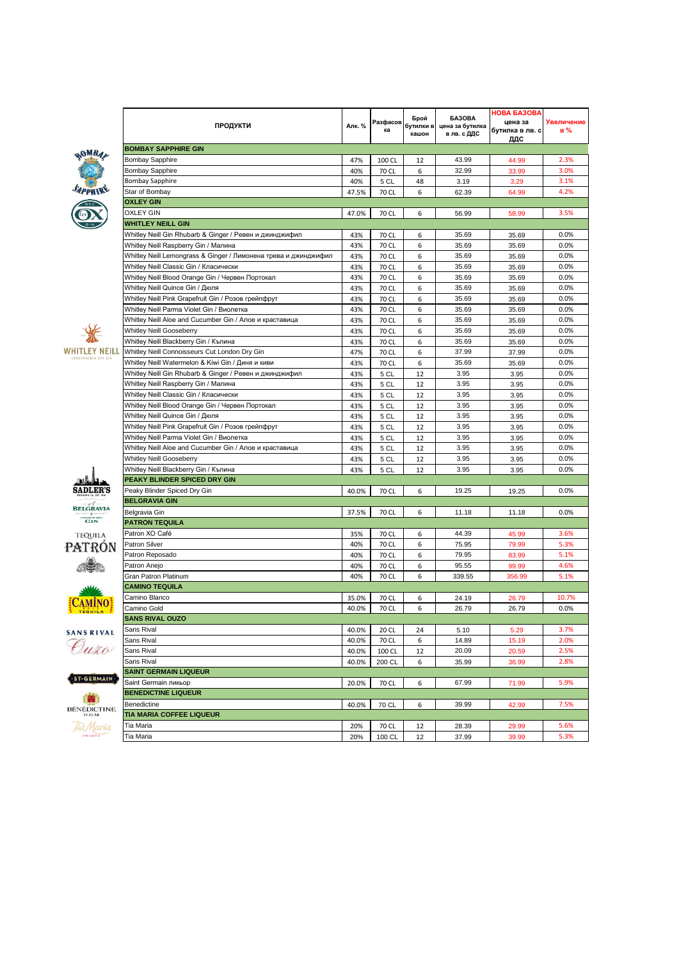| OMBA,  |
|--------|
|        |
| SAPPHY |
|        |

















| BÉNÉDICTINE<br>D.O.M |  |
|----------------------|--|
|                      |  |

| <b>ПРОДУКТИ</b>                                                 | Алк. %         | Разфасов<br>ка | Брой<br>бутилки в<br>кашон | <b>GA3OBA</b><br>цена за бутилка<br>в лв. с ДДС | <b>HOBA GA3OBA</b><br>цена за<br>бутилка в лв. с<br>ддс | <b>Увеличение</b><br>в% |
|-----------------------------------------------------------------|----------------|----------------|----------------------------|-------------------------------------------------|---------------------------------------------------------|-------------------------|
| <b>BOMBAY SAPPHIRE GIN</b>                                      |                |                |                            |                                                 |                                                         |                         |
| <b>Bombay Sapphire</b>                                          | 47%            | 100 CL         | 12                         | 43.99                                           | 44.99                                                   | 2.3%                    |
| <b>Bombay Sapphire</b>                                          | 40%            | 70 CL          | 6                          | 32.99                                           | 33.99                                                   | 3.0%                    |
| <b>Bombay Sapphire</b>                                          | 40%            | 5 CL           | 48                         | 3.19                                            | 3.29                                                    | 3.1%                    |
| Star of Bombay                                                  | 47.5%          | 70 CL          | 6                          | 62.39                                           | 64.99                                                   | 4.2%                    |
| <b>OXLEY GIN</b>                                                |                |                |                            |                                                 |                                                         |                         |
| <b>OXLEY GIN</b>                                                | 47.0%          | 70 CL          | 6                          | 56.99                                           | 58.99                                                   | 3.5%                    |
| <b>WHITLEY NEILL GIN</b>                                        |                |                |                            |                                                 |                                                         |                         |
| Whitley Neill Gin Rhubarb & Ginger / Ревен и джинджифил         | 43%            | 70 CL          | 6                          | 35.69                                           | 35.69                                                   | 0.0%                    |
| Whitley Neill Raspberry Gin / Малина                            | 43%            | 70 CL          | 6                          | 35.69                                           | 35.69                                                   | 0.0%                    |
| Whitley Neill Lemongrass & Ginger / Лимонена трева и джинджифил | 43%            | 70 CL          | 6                          | 35.69                                           | 35.69                                                   | 0.0%                    |
| Whitley Neill Classic Gin / Класически                          | 43%            | 70 CL          | 6                          | 35.69                                           | 35.69                                                   | 0.0%                    |
| Whitley Neill Blood Orange Gin / Червен Портокал                | 43%            | 70 CL          | 6                          | 35.69                                           | 35.69                                                   | 0.0%                    |
| Whitley Neill Quince Gin / Дюля                                 | 43%            | 70 CL          | 6                          | 35.69                                           | 35.69                                                   | 0.0%                    |
| Whitley Neill Pink Grapefruit Gin / Розов грейпфрут             | 43%            | 70 CL          | 6                          | 35.69                                           | 35.69                                                   | 0.0%                    |
| Whitley Neill Parma Violet Gin / Виолетка                       | 43%            | 70 CL          | 6                          | 35.69                                           | 35.69                                                   | 0.0%                    |
| Whitley Neill Aloe and Cucumber Gin / Алое и краставица         | 43%            | 70 CL          | 6                          | 35.69                                           | 35.69                                                   | 0.0%                    |
| Whitley Neill Gooseberry                                        | 43%            | 70 CL          | 6                          | 35.69                                           | 35.69                                                   | 0.0%                    |
| Whitley Neill Blackberry Gin / Къпина                           | 43%            | 70 CL          | 6                          | 35.69                                           | 35.69                                                   | 0.0%                    |
| Whitley Neill Connoisseurs Cut London Dry Gin                   | 47%            | 70 CL          | 6                          | 37.99                                           | 37.99                                                   | 0.0%                    |
| Whitley Neill Watermelon & Kiwi Gin / Диня и киви               | 43%            | 70 CL          | 6                          | 35.69                                           | 35.69                                                   | 0.0%                    |
| Whitley Neill Gin Rhubarb & Ginger / Ревен и джинджифил         | 43%            | 5 CL           | 12                         | 3.95                                            | 3.95                                                    | 0.0%                    |
| Whitley Neill Raspberry Gin / Малина                            | 43%            | 5 CL           | 12                         | 3.95                                            | 3.95                                                    | 0.0%                    |
| Whitley Neill Classic Gin / Класически                          | 43%            | 5 CL           | 12                         | 3.95                                            | 3.95                                                    | 0.0%                    |
| Whitley Neill Blood Orange Gin / Червен Портокал                | 43%            | 5 CL           | 12                         | 3.95                                            | 3.95                                                    | 0.0%                    |
| Whitley Neill Quince Gin / Дюля                                 | 43%            | 5 CL           | 12                         | 3.95                                            | 3.95                                                    | 0.0%                    |
| Whitley Neill Pink Grapefruit Gin / Розов грейпфрут             | 43%            | 5 CL           | 12                         | 3.95                                            | 3.95                                                    | 0.0%                    |
| Whitley Neill Parma Violet Gin / Виолетка                       | 43%            | 5 CL           | 12                         | 3.95                                            | 3.95                                                    | 0.0%                    |
| Whitley Neill Aloe and Cucumber Gin / Алое и краставица         | 43%            | 5 CL           | 12                         | 3.95                                            | 3.95                                                    | 0.0%                    |
| Whitley Neill Gooseberry                                        | 43%            | 5 CL           | 12                         | 3.95                                            | 3.95                                                    | 0.0%                    |
| Whitley Neill Blackberry Gin / Къпина                           | 43%            | 5 CL           | 12                         | 3.95                                            | 3.95                                                    | 0.0%                    |
| PEAKY BLINDER SPICED DRY GIN                                    |                |                |                            |                                                 |                                                         |                         |
| Peaky Blinder Spiced Dry Gin                                    | 40.0%          | 70 CL          | 6                          | 19.25                                           | 19.25                                                   | 0.0%                    |
| <b>BELGRAVIA GIN</b>                                            |                |                |                            |                                                 |                                                         |                         |
| Belgravia Gin                                                   | 37.5%          | 70 CL          | 6                          | 11.18                                           | 11.18                                                   | 0.0%                    |
| <b>PATRON TEQUILA</b>                                           |                |                |                            |                                                 |                                                         |                         |
| Patron XO Café                                                  | 35%            | 70 CL          | 6                          | 44.39                                           | 45.99                                                   | 3.6%                    |
| Patron Silver                                                   | 40%            | 70 CL          | 6                          | 75.95                                           | 79.99                                                   | 5.3%                    |
| Patron Reposado                                                 | 40%            | 70 CL          | 6                          | 79.95                                           | 83.99                                                   | 5.1%                    |
| Patron Anejo                                                    | 40%            | 70 CL          | 6                          | 95.55                                           | 99.99                                                   | 4.6%                    |
| <b>Gran Patron Platinum</b>                                     | 40%            | 70 CL          | 6                          | 339.55                                          | 356.99                                                  | 5.1%                    |
| <b>CAMINO TEQUILA</b>                                           |                |                |                            |                                                 |                                                         |                         |
| Camino Blanco                                                   | 35.0%          | 70 CL          | 6                          | 24.19                                           | 26.79                                                   | 10.7%                   |
| Camino Gold                                                     | 40.0%          | 70 CL          | 6                          | 26.79                                           | 26.79                                                   | 0.0%                    |
| <b>SANS RIVAL OUZO</b>                                          |                |                |                            |                                                 |                                                         |                         |
| Sans Rival                                                      | 40.0%          | 20 CL          | 24                         | 5.10                                            | 5.29                                                    | 3.7%                    |
| Sans Rival                                                      | 40.0%          | 70 CL          | 6                          | 14.89                                           | 15.19                                                   | 2.0%                    |
| Sans Rival                                                      |                |                |                            | 20.09                                           |                                                         | 2.5%                    |
| Sans Rival                                                      | 40.0%<br>40.0% | 100 CL         | 12<br>6                    |                                                 | 20.59                                                   | 2.8%                    |
| <b>SAINT GERMAIN LIQUEUR</b>                                    |                | 200 CL         |                            | 35.99                                           | 36.99                                                   |                         |
| Saint Germain ликьор                                            |                |                |                            | 67.99                                           |                                                         | 5.9%                    |
| <b>BENEDICTINE LIQUEUR</b>                                      | 20.0%          | 70 CL          | 6                          |                                                 | 71.99                                                   |                         |
| Benedictine                                                     |                |                |                            | 39.99                                           |                                                         | 7.5%                    |
| TIA MARIA COFFEE LIQUEUR                                        | 40.0%          | 70 CL          | 6                          |                                                 | 42.99                                                   |                         |
| Tia Maria                                                       |                |                |                            |                                                 |                                                         | 5.6%                    |
|                                                                 | 20%            | 70 CL          | 12                         | 28.39                                           | 29.99                                                   | 5.3%                    |
| Tia Maria                                                       | 20%            | 100 CL         | 12                         | 37.99                                           | 39.99                                                   |                         |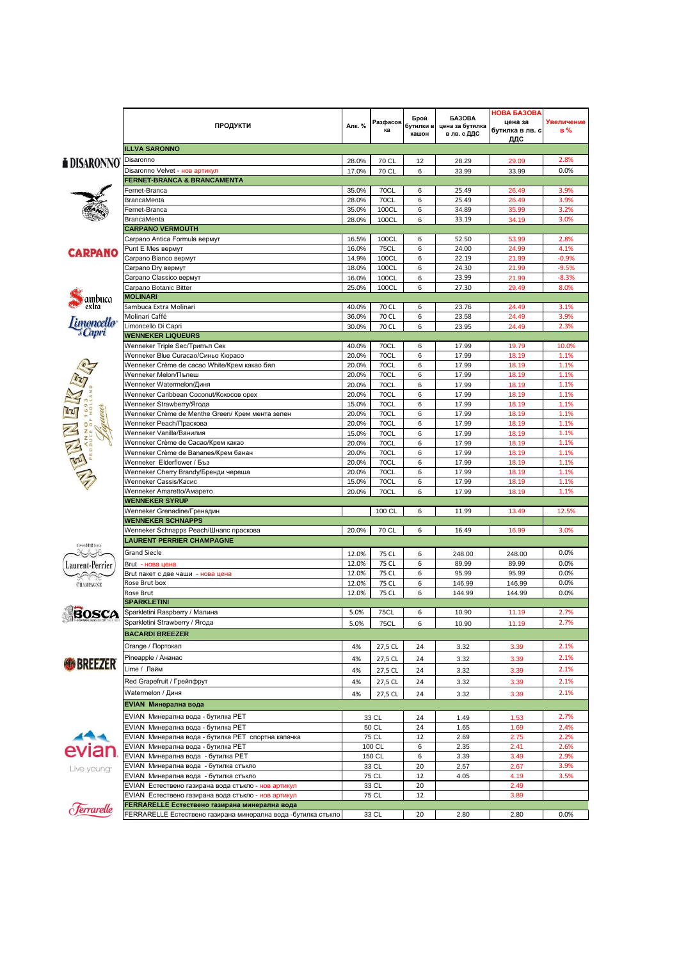|                            | <b>ПРОДУКТИ</b>                                                                                            | Алк. %         | Разфасов<br>ка             | Брой<br>бутилки в<br>кашон | <b>GA3OBA</b><br>цена за бутилка<br>в лв. с ДДС | НОВА БАЗОВА<br>цена за<br>бутилка в лв. с<br>ддс | Увеличение<br>в% |
|----------------------------|------------------------------------------------------------------------------------------------------------|----------------|----------------------------|----------------------------|-------------------------------------------------|--------------------------------------------------|------------------|
|                            | <b>ILLVA SARONNO</b>                                                                                       |                |                            |                            |                                                 |                                                  |                  |
| <b>i</b> DISARONNO         | Disaronno                                                                                                  | 28.0%          | 70 CL                      | 12                         | 28.29                                           | 29.09                                            | 2.8%             |
|                            | Disaronno Velvet - нов артикул                                                                             | 17.0%          | 70 CL                      | 6                          | 33.99                                           | 33.99                                            | 0.0%             |
|                            | FERNET-BRANCA & BRANCAMENTA<br>Fernet-Branca                                                               | 35.0%          | 70CL                       | 6                          | 25.49                                           | 26.49                                            | 3.9%             |
|                            | BrancaMenta                                                                                                | 28.0%          | <b>70CL</b>                | 6                          | 25.49                                           | 26.49                                            | 3.9%             |
| RA.,                       | Fernet-Branca                                                                                              | 35.0%          | 100CL                      | 6                          | 34.89                                           | 35.99                                            | 3.2%             |
|                            | <b>BrancaMenta</b>                                                                                         | 28.0%          | 100CL                      | 6                          | 33.19                                           | 34.19                                            | 3.0%             |
|                            | <b>CARPANO VERMOUTH</b><br>Carpano Antica Formula вермут                                                   | 16.5%          | 100CL                      | 6                          | 52.50                                           | 53.99                                            | 2.8%             |
|                            | Punt E Mes вермут                                                                                          | 16.0%          | <b>75CL</b>                | 6                          | 24.00                                           | 24.99                                            | 4.1%             |
| <b>CARPANO</b>             | Carpano Bianco вермут                                                                                      | 14.9%          | 100CL                      | 6                          | 22.19                                           | 21.99                                            | $-0.9%$          |
|                            | Carpano Dry вермут                                                                                         | 18.0%          | 100CL                      | 6                          | 24.30                                           | 21.99                                            | $-9.5%$          |
|                            | Carpano Classico вермут                                                                                    | 16.0%          | 100CL                      | 6                          | 23.99                                           | 21.99                                            | $-8.3%$          |
|                            | Carpano Botanic Bitter<br><b>MOLINARI</b>                                                                  | 25.0%          | 100CL                      | 6                          | 27.30                                           | 29.49                                            | 8.0%             |
| ambuca<br>extra            | Sambuca Extra Molinari                                                                                     | 40.0%          | 70 CL                      | 6                          | 23.76                                           | 24.49                                            | 3.1%             |
|                            | Molinari Caffé                                                                                             | 36.0%          | 70 CL                      | 6                          | 23.58                                           | 24.49                                            | 3.9%             |
| <i>Emoncello</i><br>"Capri | Limoncello Di Capri                                                                                        | 30.0%          | 70 CL                      | 6                          | 23.95                                           | 24.49                                            | 2.3%             |
|                            | <b>WENNEKER LIQUEURS</b>                                                                                   |                |                            |                            |                                                 |                                                  |                  |
|                            | Wenneker Triple Sec/Трипъл Сек                                                                             | 40.0%          | 70CL                       | 6                          | 17.99                                           | 19.79                                            | 10.0%            |
|                            | Wenneker Blue Curacao/Синьо Кюрасо<br>Wenneker Crème de cacao White/Крем какао бял                         | 20.0%<br>20.0% | 70CL<br><b>70CL</b>        | 6<br>6                     | 17.99<br>17.99                                  | 18.19<br>18.19                                   | 1.1%<br>1.1%     |
|                            | Wenneker Melon/Пъпеш                                                                                       | 20.0%          | 70CL                       | 6                          | 17.99                                           | 18.19                                            | 1.1%             |
|                            | Wenneker Watermelon/Диня                                                                                   | 20.0%          | <b>70CL</b>                | 6                          | 17.99                                           | 18.19                                            | 1.1%             |
|                            | Wenneker Caribbean Coconut/Кокосов орех                                                                    | 20.0%          | <b>70CL</b>                | 6                          | 17.99                                           | 18.19                                            | 1.1%             |
|                            | Wenneker Strawberry/Ягода                                                                                  | 15.0%          | <b>70CL</b>                | 6                          | 17.99                                           | 18.19                                            | 1.1%             |
|                            | Wenneker Crème de Menthe Green/ Крем мента зелен<br>Wenneker Peach/Праскова                                | 20.0%<br>20.0% | <b>70CL</b><br><b>70CL</b> | 6<br>6                     | 17.99<br>17.99                                  | 18.19<br>18.19                                   | 1.1%<br>1.1%     |
|                            | Wenneker Vanilla/Ванилия                                                                                   | 15.0%          | <b>70CL</b>                | 6                          | 17.99                                           | 18.19                                            | 1.1%             |
| ENNEL                      | Wenneker Crème de Cacao/Крем какао                                                                         | 20.0%          | <b>70CL</b>                | 6                          | 17.99                                           | 18.19                                            | 1.1%             |
|                            | Wenneker Crème de Bananes/Крем банан                                                                       | 20.0%          | 70CL                       | 6                          | 17.99                                           | 18.19                                            | 1.1%             |
|                            | Wenneker Elderflower / Бъз                                                                                 | 20.0%          | <b>70CL</b>                | 6                          | 17.99                                           | 18.19                                            | 1.1%             |
|                            | Wenneker Cherry Brandy/Бренди череша<br>Wenneker Cassis/Касис                                              | 20.0%          | 70CL<br><b>70CL</b>        | 6<br>6                     | 17.99<br>17.99                                  | 18.19                                            | 1.1%<br>1.1%     |
|                            | Wenneker Amaretto/Амарето                                                                                  | 15.0%<br>20.0% | 70CL                       | 6                          | 17.99                                           | 18.19<br>18.19                                   | 1.1%             |
|                            | <b>WENNEKER SYRUP</b>                                                                                      |                |                            |                            |                                                 |                                                  |                  |
|                            | Wenneker Grenadine/Гренадин                                                                                |                | 100 CL                     | 6                          | 11.99                                           | 13.49                                            | 12.5%            |
|                            | <b>WENNEKER SCHNAPPS</b>                                                                                   |                |                            |                            |                                                 |                                                  |                  |
|                            | Wenneker Schnapps Peach/Шнапс праскова                                                                     | 20.0%          | 70 CL                      | 6                          | 16.49                                           | 16.99                                            | 3.0%             |
| DEFUIS 1812 SINCE          | <b>LAURENT PERRIER CHAMPAGNE</b>                                                                           |                |                            |                            |                                                 |                                                  |                  |
|                            | <b>Grand Siecle</b>                                                                                        | 12.0%<br>12.0% | 75 CL<br>75 CL             | 6<br>6                     | 248.00<br>89.99                                 | 248.00<br>89.99                                  | 0.0%<br>0.0%     |
| Laurent-Perrier            | Brut - нова цена<br>Brut пакет с две чаши - нова цена                                                      | 12.0%          | 75 CL                      | 6                          | 95.99                                           | 95.99                                            | 0.0%             |
| <b>CHAMPAGNE</b>           | Rose Brut box                                                                                              | 12.0%          | 75 CL                      | 6                          | 146.99                                          | 146.99                                           | 0.0%             |
|                            | Rose Brut                                                                                                  | 12.0%          | 75 CL                      | 6                          | 144.99                                          | 144.99                                           | 0.0%             |
|                            | <b>SPARKLETINI</b>                                                                                         |                |                            |                            |                                                 |                                                  |                  |
| BOSCA                      | Sparkletini Raspberry / Малина                                                                             | 5.0%           | <b>75CL</b>                | 6                          | 10.90                                           | 11.19                                            | 2.7%             |
|                            | Sparkletini Strawberry / Ягода<br><b>BACARDI BREEZER</b>                                                   | 5.0%           | <b>75CL</b>                | 6                          | 10.90                                           | 11.19                                            | 2.7%             |
|                            |                                                                                                            |                |                            |                            |                                                 |                                                  |                  |
|                            | Orange / Портокал                                                                                          | 4%             | 27,5 CL                    | 24                         | 3.32                                            | 3.39                                             | 2.1%             |
| <b>BREEZER</b>             | Pineapple / Ананас<br>Lime / Лайм                                                                          | 4%             | 27,5 CL                    | 24                         | 3.32                                            | 3.39                                             | 2.1%             |
|                            |                                                                                                            | 4%             | 27,5 CL                    | 24                         | 3.32                                            | 3.39                                             | 2.1%             |
|                            | Red Grapefruit / Грейпфрут                                                                                 | 4%             | 27,5 CL                    | 24                         | 3.32                                            | 3.39                                             | 2.1%             |
|                            | Watermelon / Диня                                                                                          | 4%             | 27,5 CL                    | 24                         | 3.32                                            | 3.39                                             | 2.1%             |
|                            | EVIAN Минерална вода                                                                                       |                |                            |                            |                                                 |                                                  |                  |
|                            | EVIAN Минерална вода - бутилка PET                                                                         |                | 33 CL                      | 24<br>24                   | 1.49                                            | 1.53                                             | 2.7%             |
| 444                        | EVIAN Минерална вода - бутилка PET<br>EVIAN Минерална вода - бутилка PET спортна капачка                   |                | 50 CL<br>75 CL             | 12                         | 1.65<br>2.69                                    | 1.69<br>2.75                                     | 2.4%<br>2.2%     |
|                            | EVIAN Минерална вода - бутилка PET                                                                         |                | 100 CL                     | 6                          | 2.35                                            | 2.41                                             | 2.6%             |
| evian                      | EVIAN Минерална вода - бутилка PET                                                                         |                | 150 CL                     | 6                          | 3.39                                            | 3.49                                             | 2.9%             |
| Live young <sup>-</sup>    | EVIAN Минерална вода - бутилка стъкло                                                                      |                | 33 CL                      | 20                         | 2.57                                            | 2.67                                             | 3.9%             |
|                            | EVIAN Минерална вода - бутилка стъкло                                                                      |                | 75 CL                      | 12                         | 4.05                                            | 4.19                                             | 3.5%             |
|                            | EVIAN Естествено газирана вода стъкло - нов артикул<br>EVIAN Естествено газирана вода стъкло - нов артикул |                | 33 CL<br>75 CL             | 20<br>12                   |                                                 | 2.49<br>3.89                                     |                  |
|                            | FERRARELLE Естествено газирана минерална вода                                                              |                |                            |                            |                                                 |                                                  |                  |
| Ferrarelle                 | FERRARELLE Естествено газирана минерална вода -бутилка стъкло                                              |                | 33 CL                      | 20                         | 2.80                                            | 2.80                                             | 0.0%             |